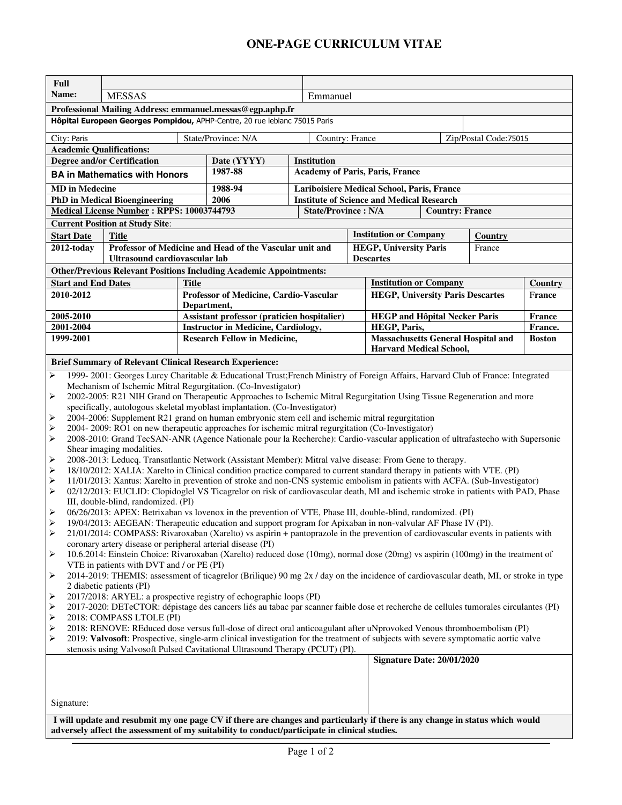## **ONE-PAGE CURRICULUM VITAE**

| Full                                                                                                                                                                                                                                                          |                                      |                                                         |                                                                           |  |                                          |                                                                                              |  |         |  |
|---------------------------------------------------------------------------------------------------------------------------------------------------------------------------------------------------------------------------------------------------------------|--------------------------------------|---------------------------------------------------------|---------------------------------------------------------------------------|--|------------------------------------------|----------------------------------------------------------------------------------------------|--|---------|--|
| Name:                                                                                                                                                                                                                                                         | <b>MESSAS</b>                        |                                                         |                                                                           |  | Emmanuel                                 |                                                                                              |  |         |  |
| Professional Mailing Address: emmanuel.messas@egp.aphp.fr                                                                                                                                                                                                     |                                      |                                                         |                                                                           |  |                                          |                                                                                              |  |         |  |
| Hôpital Europeen Georges Pompidou, APHP-Centre, 20 rue leblanc 75015 Paris                                                                                                                                                                                    |                                      |                                                         |                                                                           |  |                                          |                                                                                              |  |         |  |
| State/Province: N/A<br>City: Paris                                                                                                                                                                                                                            |                                      |                                                         |                                                                           |  | Country: France<br>Zip/Postal Code:75015 |                                                                                              |  |         |  |
| <b>Academic Qualifications:</b>                                                                                                                                                                                                                               |                                      |                                                         |                                                                           |  |                                          |                                                                                              |  |         |  |
| <b>Degree and/or Certification</b>                                                                                                                                                                                                                            |                                      |                                                         | Date (YYYY)                                                               |  | Institution                              |                                                                                              |  |         |  |
| <b>BA in Mathematics with Honors</b>                                                                                                                                                                                                                          |                                      |                                                         | <b>Academy of Paris, Paris, France</b><br>1987-88                         |  |                                          |                                                                                              |  |         |  |
| <b>MD</b> in Medecine                                                                                                                                                                                                                                         |                                      |                                                         | 1988-94                                                                   |  |                                          | Lariboisiere Medical School, Paris, France                                                   |  |         |  |
|                                                                                                                                                                                                                                                               | <b>PhD</b> in Medical Bioengineering |                                                         | <b>Institute of Science and Medical Research</b><br>2006                  |  |                                          |                                                                                              |  |         |  |
| Medical License Number: RPPS: 10003744793<br><b>State/Province: N/A</b><br><b>Country: France</b>                                                                                                                                                             |                                      |                                                         |                                                                           |  |                                          |                                                                                              |  |         |  |
| <b>Current Position at Study Site:</b>                                                                                                                                                                                                                        |                                      |                                                         |                                                                           |  |                                          |                                                                                              |  |         |  |
| <b>Start Date</b>                                                                                                                                                                                                                                             | <b>Title</b>                         |                                                         |                                                                           |  |                                          | <b>Institution or Company</b><br>Country                                                     |  |         |  |
| $2012$ -today<br>Ultrasound cardiovascular lab                                                                                                                                                                                                                |                                      | Professor of Medicine and Head of the Vascular unit and |                                                                           |  |                                          | <b>HEGP, University Paris</b><br>France<br><b>Descartes</b>                                  |  |         |  |
|                                                                                                                                                                                                                                                               |                                      |                                                         | <b>Other/Previous Relevant Positions Including Academic Appointments:</b> |  |                                          |                                                                                              |  |         |  |
| <b>Start and End Dates</b>                                                                                                                                                                                                                                    |                                      |                                                         | <b>Title</b>                                                              |  |                                          | <b>Institution or Company</b>                                                                |  | Country |  |
| 2010-2012                                                                                                                                                                                                                                                     |                                      | Professor of Medicine, Cardio-Vascular                  |                                                                           |  |                                          | <b>HEGP, University Paris Descartes</b>                                                      |  | France  |  |
|                                                                                                                                                                                                                                                               |                                      | Department,                                             |                                                                           |  |                                          |                                                                                              |  |         |  |
| 2005-2010                                                                                                                                                                                                                                                     |                                      | Assistant professor (praticien hospitalier)             |                                                                           |  |                                          | <b>HEGP</b> and Hôpital Necker Paris<br>France                                               |  |         |  |
| 2001-2004                                                                                                                                                                                                                                                     |                                      |                                                         | <b>Instructor in Medicine, Cardiology,</b>                                |  |                                          | HEGP, Paris,                                                                                 |  | France. |  |
| 1999-2001                                                                                                                                                                                                                                                     |                                      |                                                         | <b>Research Fellow in Medicine,</b>                                       |  |                                          | <b>Massachusetts General Hospital and</b><br><b>Boston</b><br><b>Harvard Medical School,</b> |  |         |  |
| <b>Brief Summary of Relevant Clinical Research Experience:</b>                                                                                                                                                                                                |                                      |                                                         |                                                                           |  |                                          |                                                                                              |  |         |  |
| ⋗<br>1999-2001: Georges Lurcy Charitable & Educational Trust; French Ministry of Foreign Affairs, Harvard Club of France: Integrated                                                                                                                          |                                      |                                                         |                                                                           |  |                                          |                                                                                              |  |         |  |
| Mechanism of Ischemic Mitral Regurgitation. (Co-Investigator)                                                                                                                                                                                                 |                                      |                                                         |                                                                           |  |                                          |                                                                                              |  |         |  |
| 2002-2005: R21 NIH Grand on Therapeutic Approaches to Ischemic Mitral Regurgitation Using Tissue Regeneration and more<br>➤                                                                                                                                   |                                      |                                                         |                                                                           |  |                                          |                                                                                              |  |         |  |
| specifically, autologous skeletal myoblast implantation. (Co-Investigator)                                                                                                                                                                                    |                                      |                                                         |                                                                           |  |                                          |                                                                                              |  |         |  |
| 2004-2006: Supplement R21 grand on human embryonic stem cell and ischemic mitral regurgitation<br>➤<br>2004-2009: RO1 on new therapeutic approaches for ischemic mitral regurgitation (Co-Investigator)<br>⋗                                                  |                                      |                                                         |                                                                           |  |                                          |                                                                                              |  |         |  |
| 2008-2010: Grand TecSAN-ANR (Agence Nationale pour la Recherche): Cardio-vascular application of ultrafastecho with Supersonic<br>➤                                                                                                                           |                                      |                                                         |                                                                           |  |                                          |                                                                                              |  |         |  |
| Shear imaging modalities.                                                                                                                                                                                                                                     |                                      |                                                         |                                                                           |  |                                          |                                                                                              |  |         |  |
| ➤<br>2008-2013: Leducq. Transatlantic Network (Assistant Member): Mitral valve disease: From Gene to therapy.                                                                                                                                                 |                                      |                                                         |                                                                           |  |                                          |                                                                                              |  |         |  |
| 18/10/2012: XALIA: Xarelto in Clinical condition practice compared to current standard therapy in patients with VTE. (PI)<br>⋗<br>11/01/2013: Xantus: Xarelto in prevention of stroke and non-CNS systemic embolism in patients with ACFA. (Sub-Investigator) |                                      |                                                         |                                                                           |  |                                          |                                                                                              |  |         |  |
| ➤<br>⋗<br>02/12/2013: EUCLID: Clopidoglel VS Ticagrelor on risk of cardiovascular death, MI and ischemic stroke in patients with PAD, Phase                                                                                                                   |                                      |                                                         |                                                                           |  |                                          |                                                                                              |  |         |  |
| III, double-blind, randomized. (PI)                                                                                                                                                                                                                           |                                      |                                                         |                                                                           |  |                                          |                                                                                              |  |         |  |
| 06/26/2013: APEX: Betrixaban vs lovenox in the prevention of VTE, Phase III, double-blind, randomized. (PI)<br>$\blacktriangleright$                                                                                                                          |                                      |                                                         |                                                                           |  |                                          |                                                                                              |  |         |  |
| ⋗<br>19/04/2013: AEGEAN: Therapeutic education and support program for Apixaban in non-valvular AF Phase IV (PI).                                                                                                                                             |                                      |                                                         |                                                                           |  |                                          |                                                                                              |  |         |  |
| 21/01/2014: COMPASS: Rivaroxaban (Xarelto) vs aspirin + pantoprazole in the prevention of cardiovascular events in patients with<br>➤<br>coronary artery disease or peripheral arterial disease (PI)                                                          |                                      |                                                         |                                                                           |  |                                          |                                                                                              |  |         |  |
| ➤<br>10.6.2014: Einstein Choice: Rivaroxaban (Xarelto) reduced dose (10mg), normal dose (20mg) vs aspirin (100mg) in the treatment of                                                                                                                         |                                      |                                                         |                                                                           |  |                                          |                                                                                              |  |         |  |
| VTE in patients with DVT and / or PE (PI)                                                                                                                                                                                                                     |                                      |                                                         |                                                                           |  |                                          |                                                                                              |  |         |  |
| 2014-2019: THEMIS: assessment of ticagrelor (Brilique) 90 mg 2x / day on the incidence of cardiovascular death, MI, or stroke in type<br>➤                                                                                                                    |                                      |                                                         |                                                                           |  |                                          |                                                                                              |  |         |  |
| 2 diabetic patients (PI)<br>2017/2018: ARYEL: a prospective registry of echographic loops (PI)<br>➤                                                                                                                                                           |                                      |                                                         |                                                                           |  |                                          |                                                                                              |  |         |  |
| ➤<br>2017-2020: DETeCTOR: dépistage des cancers liés au tabac par scanner faible dose et recherche de cellules tumorales circulantes (PI)                                                                                                                     |                                      |                                                         |                                                                           |  |                                          |                                                                                              |  |         |  |
| $\blacktriangleright$<br>2018: COMPASS LTOLE (PI)                                                                                                                                                                                                             |                                      |                                                         |                                                                           |  |                                          |                                                                                              |  |         |  |
| 2018: RENOVE: REduced dose versus full-dose of direct oral anticoagulant after uNprovoked Venous thromboembolism (PI)<br>➤                                                                                                                                    |                                      |                                                         |                                                                           |  |                                          |                                                                                              |  |         |  |
| ⋗<br>2019: Valvosoft: Prospective, single-arm clinical investigation for the treatment of subjects with severe symptomatic aortic valve<br>stenosis using Valvosoft Pulsed Cavitational Ultrasound Therapy (PCUT) (PI).                                       |                                      |                                                         |                                                                           |  |                                          |                                                                                              |  |         |  |
| <b>Signature Date: 20/01/2020</b>                                                                                                                                                                                                                             |                                      |                                                         |                                                                           |  |                                          |                                                                                              |  |         |  |
|                                                                                                                                                                                                                                                               |                                      |                                                         |                                                                           |  |                                          |                                                                                              |  |         |  |
|                                                                                                                                                                                                                                                               |                                      |                                                         |                                                                           |  |                                          |                                                                                              |  |         |  |
|                                                                                                                                                                                                                                                               |                                      |                                                         |                                                                           |  |                                          |                                                                                              |  |         |  |
| Signature:<br>I will update and resubmit my one page CV if there are changes and particularly if there is any change in status which would                                                                                                                    |                                      |                                                         |                                                                           |  |                                          |                                                                                              |  |         |  |
|                                                                                                                                                                                                                                                               |                                      |                                                         |                                                                           |  |                                          |                                                                                              |  |         |  |
| adversely affect the assessment of my suitability to conduct/participate in clinical studies.                                                                                                                                                                 |                                      |                                                         |                                                                           |  |                                          |                                                                                              |  |         |  |
|                                                                                                                                                                                                                                                               |                                      |                                                         |                                                                           |  |                                          |                                                                                              |  |         |  |